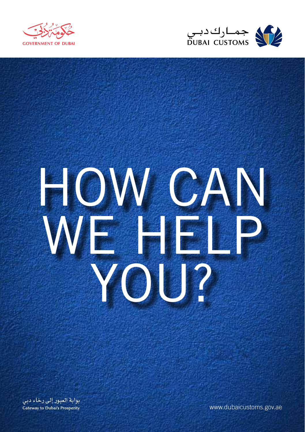



# HOW CAN WE HELP YOU?

بوابة العبور إلى رخاء دبي **Gateway to Dubai's Prosperity** 

www.dubaicustoms.gov.ae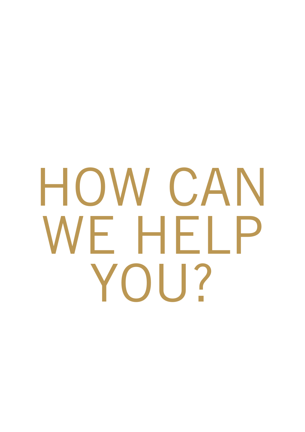## HOW CAN WE HELP YOU?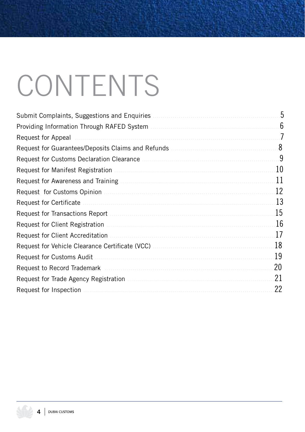### CONTENTS

| Submit Complaints, Suggestions and Enquiries    | 5  |
|-------------------------------------------------|----|
|                                                 | 6  |
| Request for Appeal                              | 7  |
|                                                 | 8  |
|                                                 | 9  |
| Request for Manifest Registration               | 10 |
|                                                 | 11 |
|                                                 | 12 |
| Request for Certificate                         | 13 |
|                                                 | 15 |
| Request for Client Registration                 | 16 |
| Request for Client Accreditation                | 17 |
| Request for Vehicle Clearance Certificate (VCC) | 18 |
| Request for Customs Audit                       | 19 |
| Request to Record Trademark                     | 20 |
|                                                 | 21 |
| Request for Inspection                          | 22 |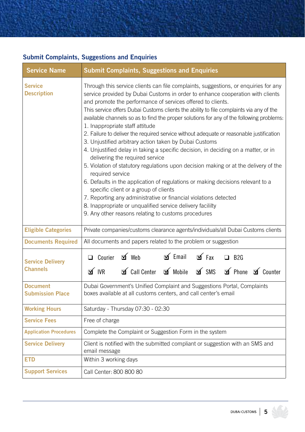#### **Submit Complaints, Suggestions and Enquiries**

| <b>Service Name</b>                        | <b>Submit Complaints, Suggestions and Enquiries</b>                                                                                                                                                                                                                                                                                                                                                                                                                                                                                                                                                                                                                                                                                                                                                                                                                                                                                                                                                                                                                                                                                                                           |  |  |  |
|--------------------------------------------|-------------------------------------------------------------------------------------------------------------------------------------------------------------------------------------------------------------------------------------------------------------------------------------------------------------------------------------------------------------------------------------------------------------------------------------------------------------------------------------------------------------------------------------------------------------------------------------------------------------------------------------------------------------------------------------------------------------------------------------------------------------------------------------------------------------------------------------------------------------------------------------------------------------------------------------------------------------------------------------------------------------------------------------------------------------------------------------------------------------------------------------------------------------------------------|--|--|--|
| <b>Service</b><br><b>Description</b>       | Through this service clients can file complaints, suggestions, or enquiries for any<br>service provided by Dubai Customs in order to enhance cooperation with clients<br>and promote the performance of services offered to clients.<br>This service offers Dubai Customs clients the ability to file complaints via any of the<br>available channels so as to find the proper solutions for any of the following problems:<br>1. Inappropriate staff attitude<br>2. Failure to deliver the required service without adequate or reasonable justification<br>3. Unjustified arbitrary action taken by Dubai Customs<br>4. Unjustified delay in taking a specific decision, in deciding on a matter, or in<br>delivering the required service<br>5. Violation of statutory regulations upon decision making or at the delivery of the<br>required service<br>6. Defaults in the application of regulations or making decisions relevant to a<br>specific client or a group of clients<br>7. Reporting any administrative or financial violations detected<br>8. Inappropriate or unqualified service delivery facililty<br>9. Any other reasons relating to customs procedures |  |  |  |
| <b>Eligible Categories</b>                 | Private companies/customs clearance agents/individuals/all Dubai Customs clients                                                                                                                                                                                                                                                                                                                                                                                                                                                                                                                                                                                                                                                                                                                                                                                                                                                                                                                                                                                                                                                                                              |  |  |  |
| <b>Documents Required</b>                  | All documents and papers related to the problem or suggestion                                                                                                                                                                                                                                                                                                                                                                                                                                                                                                                                                                                                                                                                                                                                                                                                                                                                                                                                                                                                                                                                                                                 |  |  |  |
| <b>Service Delivery</b><br><b>Channels</b> | $\leq$ Email $\leq$ Fax<br>$\Box$ Courier $\Box$ Web<br>$\Box$ B <sub>2G</sub><br>If Call Center If Mobile If SMS If Phone If Counter<br>$\leq$ IVR                                                                                                                                                                                                                                                                                                                                                                                                                                                                                                                                                                                                                                                                                                                                                                                                                                                                                                                                                                                                                           |  |  |  |
| <b>Document</b><br><b>Submission Place</b> | Dubai Government's Unified Complaint and Suggestions Portal, Complaints<br>boxes available at all customs centers, and call center's email                                                                                                                                                                                                                                                                                                                                                                                                                                                                                                                                                                                                                                                                                                                                                                                                                                                                                                                                                                                                                                    |  |  |  |
| <b>Working Hours</b>                       | Saturday - Thursday 07:30 - 02:30                                                                                                                                                                                                                                                                                                                                                                                                                                                                                                                                                                                                                                                                                                                                                                                                                                                                                                                                                                                                                                                                                                                                             |  |  |  |
| <b>Service Fees</b>                        | Free of charge                                                                                                                                                                                                                                                                                                                                                                                                                                                                                                                                                                                                                                                                                                                                                                                                                                                                                                                                                                                                                                                                                                                                                                |  |  |  |
| <b>Application Procedures</b>              | Complete the Complaint or Suggestion Form in the system                                                                                                                                                                                                                                                                                                                                                                                                                                                                                                                                                                                                                                                                                                                                                                                                                                                                                                                                                                                                                                                                                                                       |  |  |  |
| <b>Service Delivery</b>                    | Client is notified with the submitted compliant or suggestion with an SMS and<br>email message                                                                                                                                                                                                                                                                                                                                                                                                                                                                                                                                                                                                                                                                                                                                                                                                                                                                                                                                                                                                                                                                                |  |  |  |
| <b>ETD</b>                                 | Within 3 working days                                                                                                                                                                                                                                                                                                                                                                                                                                                                                                                                                                                                                                                                                                                                                                                                                                                                                                                                                                                                                                                                                                                                                         |  |  |  |
| <b>Support Services</b>                    | Call Center: 800 800 80                                                                                                                                                                                                                                                                                                                                                                                                                                                                                                                                                                                                                                                                                                                                                                                                                                                                                                                                                                                                                                                                                                                                                       |  |  |  |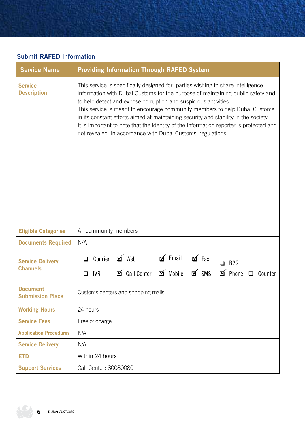#### **Submit RAFED Information**

| <b>Service Name</b>                        | <b>Providing Information Through RAFED System</b>                                                                                                                                                                                                                                                                                                                                                                                                                                                                                                                   |  |  |  |  |  |
|--------------------------------------------|---------------------------------------------------------------------------------------------------------------------------------------------------------------------------------------------------------------------------------------------------------------------------------------------------------------------------------------------------------------------------------------------------------------------------------------------------------------------------------------------------------------------------------------------------------------------|--|--|--|--|--|
| <b>Service</b><br><b>Description</b>       | This service is specifically designed for parties wishing to share intelligence<br>information with Dubai Customs for the purpose of maintaining public safety and<br>to help detect and expose corruption and suspicious activities.<br>This service is meant to encourage community members to help Dubai Customs<br>in its constant efforts aimed at maintaining security and stability in the society.<br>It is important to note that the identity of the information reporter is protected and<br>not revealed in accordance with Dubai Customs' regulations. |  |  |  |  |  |
| <b>Eligible Categories</b>                 | All community members                                                                                                                                                                                                                                                                                                                                                                                                                                                                                                                                               |  |  |  |  |  |
| <b>Documents Required</b>                  | N/A                                                                                                                                                                                                                                                                                                                                                                                                                                                                                                                                                                 |  |  |  |  |  |
| <b>Service Delivery</b><br><b>Channels</b> | $\leq$ Email<br>□ Courier □ Web<br>$\mathbf{p}$ Fax<br>$\Box$ B <sub>2G</sub><br><b>⊿</b> SMS<br>$\Delta$ Call Center $\Delta$ Mobile<br><b>I</b> Phone □ Counter<br>$\Box$ IVR                                                                                                                                                                                                                                                                                                                                                                                     |  |  |  |  |  |
| <b>Document</b><br><b>Submission Place</b> | Customs centers and shopping malls                                                                                                                                                                                                                                                                                                                                                                                                                                                                                                                                  |  |  |  |  |  |
| <b>Working Hours</b>                       | 24 hours                                                                                                                                                                                                                                                                                                                                                                                                                                                                                                                                                            |  |  |  |  |  |
| <b>Service Fees</b>                        | Free of charge                                                                                                                                                                                                                                                                                                                                                                                                                                                                                                                                                      |  |  |  |  |  |
| <b>Application Procedures</b>              | N/A                                                                                                                                                                                                                                                                                                                                                                                                                                                                                                                                                                 |  |  |  |  |  |
| <b>Service Delivery</b>                    | N/A                                                                                                                                                                                                                                                                                                                                                                                                                                                                                                                                                                 |  |  |  |  |  |
| <b>ETD</b>                                 | Within 24 hours                                                                                                                                                                                                                                                                                                                                                                                                                                                                                                                                                     |  |  |  |  |  |
| <b>Support Services</b>                    | Call Center: 80080080                                                                                                                                                                                                                                                                                                                                                                                                                                                                                                                                               |  |  |  |  |  |

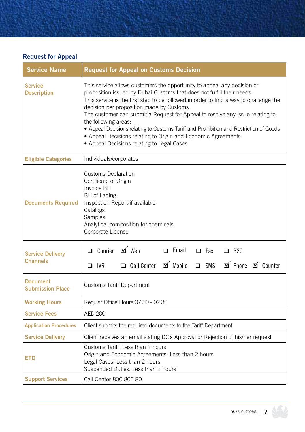#### **Request for Appeal**

| <b>Service Name</b>                        | <b>Request for Appeal on Customs Decision</b>                                                                                                                                                                                                                                                                                                                                                                                                                                                                                                                                                             |  |  |
|--------------------------------------------|-----------------------------------------------------------------------------------------------------------------------------------------------------------------------------------------------------------------------------------------------------------------------------------------------------------------------------------------------------------------------------------------------------------------------------------------------------------------------------------------------------------------------------------------------------------------------------------------------------------|--|--|
| <b>Service</b><br><b>Description</b>       | This service allows customers the opportunity to appeal any decision or<br>proposition issued by Dubai Customs that does not fulfill their needs.<br>This service is the first step to be followed in order to find a way to challenge the<br>decision per proposition made by Customs.<br>The customer can submit a Request for Appeal to resolve any issue relating to<br>the following areas:<br>• Appeal Decisions relating to Customs Tariff and Prohibition and Restriction of Goods<br>• Appeal Decisions relating to Origin and Economic Agreements<br>• Appeal Decisions relating to Legal Cases |  |  |
| <b>Eligible Categories</b>                 | Individuals/corporates                                                                                                                                                                                                                                                                                                                                                                                                                                                                                                                                                                                    |  |  |
| <b>Documents Required</b>                  | <b>Customs Declaration</b><br>Certificate of Origin<br>Invoice Bill<br><b>Bill of Lading</b><br>Inspection Report-if available<br>Catalogs<br>Samples<br>Analytical composition for chemicals<br>Corporate License                                                                                                                                                                                                                                                                                                                                                                                        |  |  |
| <b>Service Delivery</b><br><b>Channels</b> | □ Courier <b>b</b> Web<br>$\Box$ Email<br>$\Box$ Fax<br>$\Box$ B <sub>2G</sub><br>$\mathbf{v}$ Mobile<br><b>I</b> Phone <b>I</b> Counter<br>$\Box$ SMS<br>Call Center<br>$\Box$ IVR                                                                                                                                                                                                                                                                                                                                                                                                                       |  |  |
| <b>Document</b><br><b>Submission Place</b> | <b>Customs Tariff Department</b>                                                                                                                                                                                                                                                                                                                                                                                                                                                                                                                                                                          |  |  |
| <b>Working Hours</b>                       | Regular Office Hours 07:30 - 02:30                                                                                                                                                                                                                                                                                                                                                                                                                                                                                                                                                                        |  |  |
| <b>Service Fees</b>                        | <b>AED 200</b>                                                                                                                                                                                                                                                                                                                                                                                                                                                                                                                                                                                            |  |  |
| <b>Application Procedures</b>              | Client submits the required documents to the Tariff Department                                                                                                                                                                                                                                                                                                                                                                                                                                                                                                                                            |  |  |
| <b>Service Delivery</b>                    | Client receives an email stating DC's Approval or Rejection of his/her request                                                                                                                                                                                                                                                                                                                                                                                                                                                                                                                            |  |  |
| ETD                                        | Customs Tariff: Less than 2 hours<br>Origin and Economic Agreements: Less than 2 hours<br>Legal Cases: Less than 2 hours<br>Suspended Duties: Less than 2 hours                                                                                                                                                                                                                                                                                                                                                                                                                                           |  |  |
| <b>Support Services</b>                    | Call Center 800 800 80                                                                                                                                                                                                                                                                                                                                                                                                                                                                                                                                                                                    |  |  |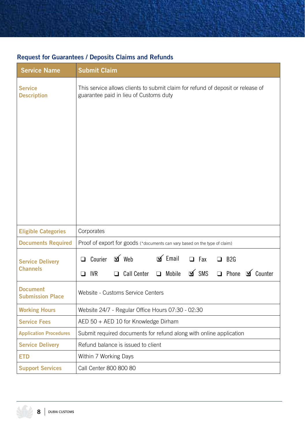| <b>Service Name</b>                        | <b>Submit Claim</b>                                                                                                                                                                      |  |  |
|--------------------------------------------|------------------------------------------------------------------------------------------------------------------------------------------------------------------------------------------|--|--|
| <b>Service</b><br><b>Description</b>       | This service allows clients to submit claim for refund of deposit or release of<br>guarantee paid in lieu of Customs duty                                                                |  |  |
| <b>Eligible Categories</b>                 | Corporates                                                                                                                                                                               |  |  |
| <b>Documents Required</b>                  | Proof of export for goods (*documents can vary based on the type of claim)                                                                                                               |  |  |
| <b>Service Delivery</b><br><b>Channels</b> | Courier $\Box$ Web<br>$\leq$ Email<br>$\Box$ Fax<br>$\Box$ B <sub>2G</sub><br><b>□</b><br><b>M</b> SMS<br>none of Counter<br><b>IVR</b><br>$\Box$ Call Center<br>$\Box$ Mobile<br>$\Box$ |  |  |
| <b>Document</b><br><b>Submission Place</b> | Website - Customs Service Centers                                                                                                                                                        |  |  |
| <b>Working Hours</b>                       | Website 24/7 - Regular Office Hours 07:30 - 02:30                                                                                                                                        |  |  |
| <b>Service Fees</b>                        | AED 50 + AED 10 for Knowledge Dirham                                                                                                                                                     |  |  |
| <b>Application Procedures</b>              | Submit required documents for refund along with online application                                                                                                                       |  |  |
| <b>Service Delivery</b>                    | Refund balance is issued to client                                                                                                                                                       |  |  |
| <b>ETD</b>                                 | Within 7 Working Days                                                                                                                                                                    |  |  |
| <b>Support Services</b>                    | Call Center 800 800 80                                                                                                                                                                   |  |  |

#### **Request for Guarantees / Deposits Claims and Refunds**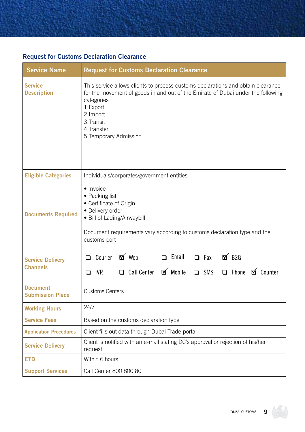#### **Request for Customs Declaration Clearance**

| <b>Service Name</b>                        | <b>Request for Customs Declaration Clearance</b>                                                                                                                                                                                                                  |  |  |  |
|--------------------------------------------|-------------------------------------------------------------------------------------------------------------------------------------------------------------------------------------------------------------------------------------------------------------------|--|--|--|
| <b>Service</b><br><b>Description</b>       | This service allows clients to process customs declarations and obtain clearance<br>for the movement of goods in and out of the Emirate of Dubai under the following<br>categories<br>1.Export<br>2.Import<br>3. Transit<br>4. Transfer<br>5. Temporary Admission |  |  |  |
| <b>Eligible Categories</b>                 | Individuals/corporates/government entities                                                                                                                                                                                                                        |  |  |  |
| <b>Documents Required</b>                  | • Invoice<br>• Packing list<br>• Certificate of Origin<br>· Delivery order<br>· Bill of Lading/Airwaybill<br>Document requirements vary according to customs declaration type and the<br>customs port                                                             |  |  |  |
| <b>Service Delivery</b><br><b>Channels</b> | 口 Courier 可 Web<br>□ Fax 可 B2G<br>$\Box$ Email<br>□ Call Center <b>o</b> Mobile □ SMS<br>□ Phone <b>o</b> Counter<br>$\Box$ IVR                                                                                                                                   |  |  |  |
| <b>Document</b><br><b>Submission Place</b> | <b>Customs Centers</b>                                                                                                                                                                                                                                            |  |  |  |
| <b>Working Hours</b>                       | 24/7                                                                                                                                                                                                                                                              |  |  |  |
| <b>Service Fees</b>                        | Based on the customs declaration type                                                                                                                                                                                                                             |  |  |  |
| <b>Application Procedures</b>              | Client fills out data through Dubai Trade portal                                                                                                                                                                                                                  |  |  |  |
| <b>Service Delivery</b>                    | Client is notified with an e-mail stating DC's approval or rejection of his/her<br>request                                                                                                                                                                        |  |  |  |
| <b>ETD</b>                                 | Within 6 hours                                                                                                                                                                                                                                                    |  |  |  |
| <b>Support Services</b>                    | Call Center 800 800 80                                                                                                                                                                                                                                            |  |  |  |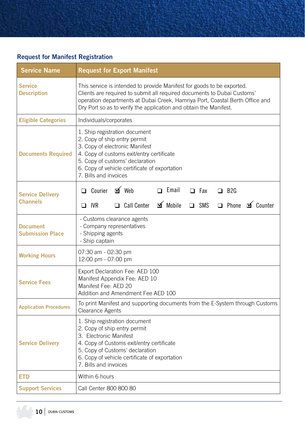#### **Request for Manifest Registration**

| <b>Service Name</b>                        | <b>Request for Export Manifest</b>                                                                                                                                                                                                                                                                     |  |  |
|--------------------------------------------|--------------------------------------------------------------------------------------------------------------------------------------------------------------------------------------------------------------------------------------------------------------------------------------------------------|--|--|
| <b>Service</b><br><b>Description</b>       | This service is intended to provide Manifest for goods to be exported.<br>Clients are required to submit all required documents to Dubai Customs'<br>operation departments at Dubai Creek, Hamriya Port, Coastal Berth Office and<br>Dry Port so as to verify the application and obtain the Manifest. |  |  |
| <b>Eligible Categories</b>                 | Individuals/corporates                                                                                                                                                                                                                                                                                 |  |  |
| <b>Documents Required</b>                  | 1. Ship registration document<br>2. Copy of ship entry permit<br>3. Copy of electronic Manifest<br>4. Copy of customs exit/entry certificate<br>5. Copy of customs' declaration<br>6. Copy of vehicle certificate of exportation<br>7. Bills and invoices                                              |  |  |
| <b>Service Delivery</b>                    | $\leq$ Web<br>$\Box$ Email<br>$\Box$ Courier<br>$\Box$ Fax<br>$\Box$ B <sub>2G</sub>                                                                                                                                                                                                                   |  |  |
| <b>Channels</b>                            | □ Call Center <b>I</b> Mobile<br>□ Phone <b>o</b> Counter<br>SMS<br>$\Box$ IVR<br><b>□</b>                                                                                                                                                                                                             |  |  |
| <b>Document</b><br><b>Submission Place</b> | - Customs clearance agents<br>- Company representatives<br>- Shipping agents<br>- Ship captain                                                                                                                                                                                                         |  |  |
| <b>Working Hours</b>                       | 07:30 am - 02:30 pm<br>12:00 pm - 07:00 pm                                                                                                                                                                                                                                                             |  |  |
| <b>Service Fees</b>                        | Export Declaration Fee: AED 100<br>Manifest Appendix Fee: AED 10<br>Manifest Fee: AED 20<br>Addition and Amendment Fee AED 100                                                                                                                                                                         |  |  |
| <b>Application Procedures</b>              | To print Manifest and supporting documents from the E-System through Customs<br>Clearance Agents                                                                                                                                                                                                       |  |  |
| <b>Service Delivery</b>                    | 1. Ship registration document<br>2. Copy of ship entry permit<br>3. Electronic Manifest<br>4. Copy of Customs exit/entry certificate<br>5. Copy of Customs' declaration<br>6. Copy of vehicle certificate of exportation<br>7. Bills and invoices                                                      |  |  |
| <b>ETD</b>                                 | Within 6 hours                                                                                                                                                                                                                                                                                         |  |  |
| <b>Support Services</b>                    | Call Center 800 800 80                                                                                                                                                                                                                                                                                 |  |  |

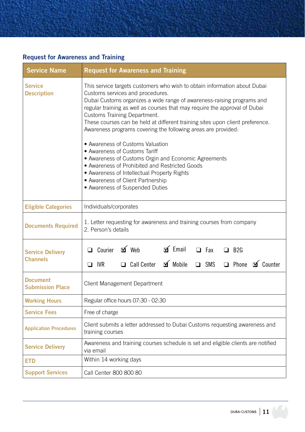#### **Request for Awareness and Training**

| <b>Service Name</b>                        | <b>Request for Awareness and Training</b>                                                                                                                                                                                                                                                                                                                                                                                                                                                                                                                                                                                                                                                                                                                     |  |  |  |
|--------------------------------------------|---------------------------------------------------------------------------------------------------------------------------------------------------------------------------------------------------------------------------------------------------------------------------------------------------------------------------------------------------------------------------------------------------------------------------------------------------------------------------------------------------------------------------------------------------------------------------------------------------------------------------------------------------------------------------------------------------------------------------------------------------------------|--|--|--|
| <b>Service</b><br><b>Description</b>       | This service targets customers who wish to obtain information about Dubai<br>Customs services and procedures.<br>Dubai Customs organizes a wide range of awareness-raising programs and<br>regular training as well as courses that may require the approval of Dubai<br>Customs Training Department.<br>These courses can be held at different training sites upon client preference.<br>Awareness programs covering the following areas are provided:<br>• Awareness of Customs Valuation<br>• Awareness of Customs Tariff<br>• Awareness of Customs Orgin and Economic Agreements<br>• Awareness of Prohibited and Restricted Goods<br>• Awareness of Intellectual Property Rights<br>• Awareness of Client Partnership<br>• Awareness of Suspended Duties |  |  |  |
| <b>Eligible Categories</b>                 | Individuals/corporates                                                                                                                                                                                                                                                                                                                                                                                                                                                                                                                                                                                                                                                                                                                                        |  |  |  |
| <b>Documents Required</b>                  | 1. Letter requesting for awareness and training courses from company<br>2. Person's details                                                                                                                                                                                                                                                                                                                                                                                                                                                                                                                                                                                                                                                                   |  |  |  |
| <b>Service Delivery</b><br><b>Channels</b> | $\Box$ Courier $\Box$ Web<br>$\leq$ Email<br>$\Box$ Fax<br>$\Box$ B <sub>2G</sub><br>$\mathbf{N}$ Mobile<br>□ Phone <b>o</b> Counter<br>$\Box$ Call Center<br>$\square$ SMS<br>$\Box$ IVR                                                                                                                                                                                                                                                                                                                                                                                                                                                                                                                                                                     |  |  |  |
| <b>Document</b><br><b>Submission Place</b> | Client Management Department                                                                                                                                                                                                                                                                                                                                                                                                                                                                                                                                                                                                                                                                                                                                  |  |  |  |
| <b>Working Hours</b>                       | Regular office hours 07:30 - 02:30                                                                                                                                                                                                                                                                                                                                                                                                                                                                                                                                                                                                                                                                                                                            |  |  |  |
| <b>Service Fees</b>                        | Free of charge                                                                                                                                                                                                                                                                                                                                                                                                                                                                                                                                                                                                                                                                                                                                                |  |  |  |
| <b>Application Procedures</b>              | Client submits a letter addressed to Dubai Customs requesting awareness and<br>training courses                                                                                                                                                                                                                                                                                                                                                                                                                                                                                                                                                                                                                                                               |  |  |  |
| <b>Service Delivery</b>                    | Awareness and training courses schedule is set and eligible clients are notified<br>via email                                                                                                                                                                                                                                                                                                                                                                                                                                                                                                                                                                                                                                                                 |  |  |  |
| <b>ETD</b>                                 | Within 14 working days                                                                                                                                                                                                                                                                                                                                                                                                                                                                                                                                                                                                                                                                                                                                        |  |  |  |
| <b>Support Services</b>                    | Call Center 800 800 80                                                                                                                                                                                                                                                                                                                                                                                                                                                                                                                                                                                                                                                                                                                                        |  |  |  |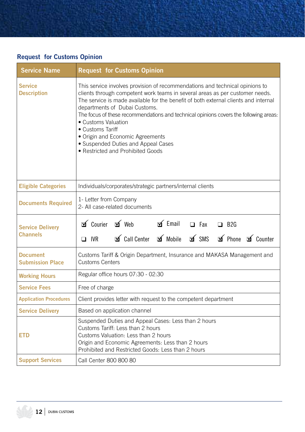#### **Request for Customs Opinion**

| <b>Service Name</b>                        | <b>Request for Customs Opinion</b>                                                                                                                                                                                                                                                                                                                                                                                                                                                                                                       |  |  |
|--------------------------------------------|------------------------------------------------------------------------------------------------------------------------------------------------------------------------------------------------------------------------------------------------------------------------------------------------------------------------------------------------------------------------------------------------------------------------------------------------------------------------------------------------------------------------------------------|--|--|
| Service<br><b>Description</b>              | This service involves provision of recommendations and technical opinions to<br>clients through competent work teams in several areas as per customer needs.<br>The service is made available for the benefit of both external clients and internal<br>departments of Dubai Customs.<br>The focus of these recommendations and technical opinions covers the following areas:<br>• Customs Valuation<br>• Customs Tariff<br>• Origin and Economic Agreements<br>• Suspended Duties and Appeal Cases<br>• Restricted and Prohibited Goods |  |  |
| <b>Eligible Categories</b>                 | Individuals/corporates/strategic partners/internal clients                                                                                                                                                                                                                                                                                                                                                                                                                                                                               |  |  |
| <b>Documents Required</b>                  | 1- Letter from Company<br>2- All case-related documents                                                                                                                                                                                                                                                                                                                                                                                                                                                                                  |  |  |
| <b>Service Delivery</b><br><b>Channels</b> | $\mathfrak A$ Courier $\mathfrak A$ Web $\mathfrak A$ Email $\Box$ Fax<br>$\Box$ B2G<br>Sincenter of Mobile of SMS of Phone of Counter<br>$\Box$ IVR                                                                                                                                                                                                                                                                                                                                                                                     |  |  |
| <b>Document</b><br><b>Submission Place</b> | Customs Tariff & Origin Department, Insurance and MAKASA Management and<br><b>Customs Centers</b>                                                                                                                                                                                                                                                                                                                                                                                                                                        |  |  |
| <b>Working Hours</b>                       | Regular office hours 07:30 - 02:30                                                                                                                                                                                                                                                                                                                                                                                                                                                                                                       |  |  |
| <b>Service Fees</b>                        | Free of charge                                                                                                                                                                                                                                                                                                                                                                                                                                                                                                                           |  |  |
| <b>Application Procedures</b>              | Client provides letter with request to the competent department                                                                                                                                                                                                                                                                                                                                                                                                                                                                          |  |  |
| <b>Service Delivery</b>                    | Based on application channel                                                                                                                                                                                                                                                                                                                                                                                                                                                                                                             |  |  |
| ETD                                        | Suspended Duties and Appeal Cases: Less than 2 hours<br>Customs Tariff: Less than 2 hours<br>Customs Valuation: Less than 2 hours<br>Origin and Economic Agreements: Less than 2 hours<br>Prohibited and Restricted Goods: Less than 2 hours                                                                                                                                                                                                                                                                                             |  |  |
| <b>Support Services</b>                    | Call Center 800 800 80                                                                                                                                                                                                                                                                                                                                                                                                                                                                                                                   |  |  |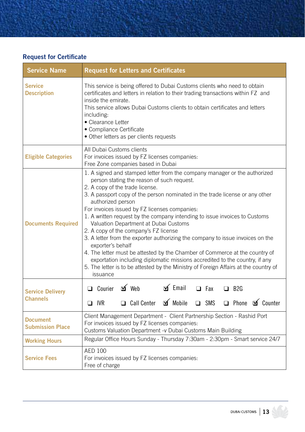#### **Request for Certificate**

| <b>Service Name</b>                        | <b>Request for Letters and Certificates</b>                                                                                                                                                                                                                                                                                                                                                                                                                                                                                                                                                                                                                                                                                                                                                                                                               |  |  |
|--------------------------------------------|-----------------------------------------------------------------------------------------------------------------------------------------------------------------------------------------------------------------------------------------------------------------------------------------------------------------------------------------------------------------------------------------------------------------------------------------------------------------------------------------------------------------------------------------------------------------------------------------------------------------------------------------------------------------------------------------------------------------------------------------------------------------------------------------------------------------------------------------------------------|--|--|
| <b>Service</b><br><b>Description</b>       | This service is being offered to Dubai Customs clients who need to obtain<br>certificates and letters in relation to their trading transactions within FZ and<br>inside the emirate.<br>This service allows Dubai Customs clients to obtain certificates and letters<br>including:<br>• Clearance Letter<br>• Compliance Certificate<br>· Other letters as per clients requests                                                                                                                                                                                                                                                                                                                                                                                                                                                                           |  |  |
| <b>Eligible Categories</b>                 | All Dubai Customs clients<br>For invoices issued by FZ licenses companies:<br>Free Zone companies based in Dubai                                                                                                                                                                                                                                                                                                                                                                                                                                                                                                                                                                                                                                                                                                                                          |  |  |
| <b>Documents Required</b>                  | 1. A signed and stamped letter from the company manager or the authorized<br>person stating the reason of such request.<br>2. A copy of the trade license.<br>3. A passport copy of the person nominated in the trade license or any other<br>authorized person<br>For invoices issued by FZ licenses companies:<br>1. A written request by the company intending to issue invoices to Customs<br>Valuation Department at Dubai Customs<br>2. A copy of the company's FZ license<br>3. A letter from the exporter authorizing the company to issue invoices on the<br>exporter's behalf<br>4. The letter must be attested by the Chamber of Commerce at the country of<br>exportation including diplomatic missions accredited to the country, if any<br>5. The letter is to be attested by the Ministry of Foreign Affairs at the country of<br>issuance |  |  |
| <b>Service Delivery</b>                    | $\leq$ Email<br>□ Courier □ Web<br>$\Box$ Fax<br>$\Box$ B <sub>2G</sub>                                                                                                                                                                                                                                                                                                                                                                                                                                                                                                                                                                                                                                                                                                                                                                                   |  |  |
| <b>Channels</b>                            | □ Call Center □ Mobile<br>□ Phone <b>o</b> Counter<br>SMS<br>$\Box$<br>$\Box$ IVR                                                                                                                                                                                                                                                                                                                                                                                                                                                                                                                                                                                                                                                                                                                                                                         |  |  |
| <b>Document</b><br><b>Submission Place</b> | Client Management Department - Client Partnership Section - Rashid Port<br>For invoices issued by FZ licenses companies:<br>Customs Valuation Department - v Dubai Customs Main Building                                                                                                                                                                                                                                                                                                                                                                                                                                                                                                                                                                                                                                                                  |  |  |
| <b>Working Hours</b>                       | Regular Office Hours Sunday - Thursday 7:30am - 2:30pm - Smart service 24/7                                                                                                                                                                                                                                                                                                                                                                                                                                                                                                                                                                                                                                                                                                                                                                               |  |  |
| <b>Service Fees</b>                        | <b>AED 100</b><br>For invoices issued by FZ licenses companies:<br>Free of charge                                                                                                                                                                                                                                                                                                                                                                                                                                                                                                                                                                                                                                                                                                                                                                         |  |  |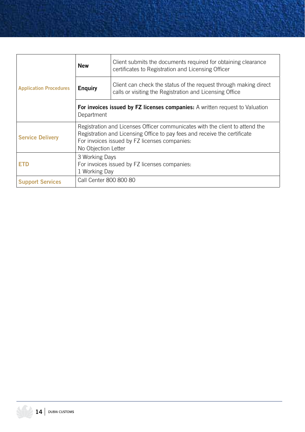| <b>Application Procedures</b> | <b>New</b>                                                                                                                                                                                                                        | Client submits the documents required for obtaining clearance<br>certificates to Registration and Licensing Officer         |
|-------------------------------|-----------------------------------------------------------------------------------------------------------------------------------------------------------------------------------------------------------------------------------|-----------------------------------------------------------------------------------------------------------------------------|
|                               | <b>Enguiry</b>                                                                                                                                                                                                                    | Client can check the status of the request through making direct<br>calls or visiting the Registration and Licensing Office |
|                               | <b>For invoices issued by FZ licenses companies:</b> A written request to Valuation<br>Department                                                                                                                                 |                                                                                                                             |
| <b>Service Delivery</b>       | Registration and Licenses Officer communicates with the client to attend the<br>Registration and Licensing Office to pay fees and receive the certificate<br>For invoices issued by FZ licenses companies:<br>No Objection Letter |                                                                                                                             |
| <b>ETD</b>                    | 3 Working Days<br>For invoices issued by FZ licenses companies:<br>1 Working Day                                                                                                                                                  |                                                                                                                             |
| <b>Support Services</b>       | Call Center 800 800 80                                                                                                                                                                                                            |                                                                                                                             |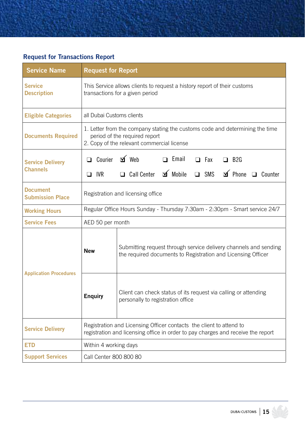#### **Request for Transactions Report**

| <b>Service Name</b>                        | <b>Request for Report</b>                                                                                                                                   |                                                                                                                                                            |  |
|--------------------------------------------|-------------------------------------------------------------------------------------------------------------------------------------------------------------|------------------------------------------------------------------------------------------------------------------------------------------------------------|--|
| <b>Service</b><br><b>Description</b>       | This Service allows clients to request a history report of their customs<br>transactions for a given period                                                 |                                                                                                                                                            |  |
| <b>Eligible Categories</b>                 | all Dubai Customs clients                                                                                                                                   |                                                                                                                                                            |  |
| <b>Documents Required</b>                  | 1. Letter from the company stating the customs code and determining the time<br>period of the required report<br>2. Copy of the relevant commercial license |                                                                                                                                                            |  |
| <b>Service Delivery</b><br><b>Channels</b> | $\Box$ Courier<br>$\Box$ IVR                                                                                                                                | $\Delta$ Web<br>$\Box$ Email<br>$\Box$ Fax<br>$\Box$ B <sub>2G</sub><br>□ Call Center <b>I</b> Mobile<br>$\triangle$ Phone $\Box$ Counter<br>$\square$ SMS |  |
| <b>Document</b><br><b>Submission Place</b> | Registration and licensing office                                                                                                                           |                                                                                                                                                            |  |
| <b>Working Hours</b>                       | Regular Office Hours Sunday - Thursday 7:30am - 2:30pm - Smart service 24/7                                                                                 |                                                                                                                                                            |  |
| <b>Service Fees</b>                        | AED 50 per month                                                                                                                                            |                                                                                                                                                            |  |
| <b>Application Procedures</b>              | <b>New</b>                                                                                                                                                  | Submitting request through service delivery channels and sending<br>the required documents to Registration and Licensing Officer                           |  |
|                                            | <b>Enquiry</b>                                                                                                                                              | Client can check status of its request via calling or attending<br>personally to registration office                                                       |  |
| <b>Service Delivery</b>                    | Registration and Licensing Officer contacts the client to attend to<br>registration and licensing office in order to pay charges and receive the report     |                                                                                                                                                            |  |
| ETD                                        | Within 4 working days                                                                                                                                       |                                                                                                                                                            |  |
| <b>Support Services</b>                    |                                                                                                                                                             | Call Center 800 800 80                                                                                                                                     |  |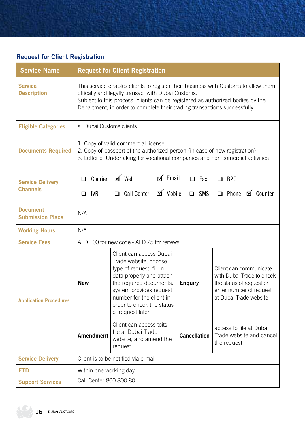#### **Request for Client Registration**

| <b>Service Name</b>                        | <b>Request for Client Registration</b>                                                                                                                                                                                                                                                                 |                                                                                                                                                                                                                                             |                                                                                                                                                        |                                  |
|--------------------------------------------|--------------------------------------------------------------------------------------------------------------------------------------------------------------------------------------------------------------------------------------------------------------------------------------------------------|---------------------------------------------------------------------------------------------------------------------------------------------------------------------------------------------------------------------------------------------|--------------------------------------------------------------------------------------------------------------------------------------------------------|----------------------------------|
| <b>Service</b><br><b>Description</b>       | This service enables clients to register their business with Customs to allow them<br>offically and legally transact with Dubai Customs.<br>Subject to this process, clients can be registered as authorized bodies by the<br>Department, in order to complete their trading transactions successfully |                                                                                                                                                                                                                                             |                                                                                                                                                        |                                  |
| <b>Eligible Categories</b>                 | all Dubai Customs clients                                                                                                                                                                                                                                                                              |                                                                                                                                                                                                                                             |                                                                                                                                                        |                                  |
| <b>Documents Required</b>                  | 1. Copy of valid commercial license<br>2. Copy of passport of the authorized person (in case of new registration)<br>3. Letter of Undertaking for vocational companies and non comercial activities                                                                                                    |                                                                                                                                                                                                                                             |                                                                                                                                                        |                                  |
| <b>Service Delivery</b>                    | $\Box$ Courier                                                                                                                                                                                                                                                                                         | $\leq$ Web<br>$\leq$ Email                                                                                                                                                                                                                  | $\Box$ Fax                                                                                                                                             | $\Box$ B <sub>2G</sub>           |
| <b>Channels</b>                            | $\Box$ IVR                                                                                                                                                                                                                                                                                             | $\mathbf{v}$ Mobile<br>$\Box$ Call Center                                                                                                                                                                                                   | SMS<br>$\Box$                                                                                                                                          | <b>I</b> Counter<br>$\Box$ Phone |
| <b>Document</b><br><b>Submission Place</b> | N/A                                                                                                                                                                                                                                                                                                    |                                                                                                                                                                                                                                             |                                                                                                                                                        |                                  |
| <b>Working Hours</b>                       | N/A                                                                                                                                                                                                                                                                                                    |                                                                                                                                                                                                                                             |                                                                                                                                                        |                                  |
| <b>Service Fees</b>                        | AED 100 for new code - AED 25 for renewal                                                                                                                                                                                                                                                              |                                                                                                                                                                                                                                             |                                                                                                                                                        |                                  |
| <b>Application Procedures</b>              | <b>New</b>                                                                                                                                                                                                                                                                                             | Client can access Dubai<br>Trade website, choose<br>type of request, fill in<br>data properly and attach<br>the required documents.<br>system provides request<br>number for the client in<br>order to check the status<br>of request later | Client can communicate<br>with Dubai Trade to check<br><b>Enquiry</b><br>the status of request or<br>enter number of request<br>at Dubai Trade website |                                  |
|                                            | Amendment                                                                                                                                                                                                                                                                                              | Client can access toits<br>file at Dubai Trade<br>website, and amend the<br>request                                                                                                                                                         | access to file at Dubai<br><b>Cancellation</b><br>Trade website and cancel<br>the request                                                              |                                  |
| <b>Service Delivery</b>                    | Client is to be notified via e-mail                                                                                                                                                                                                                                                                    |                                                                                                                                                                                                                                             |                                                                                                                                                        |                                  |
| <b>ETD</b>                                 | Within one working day                                                                                                                                                                                                                                                                                 |                                                                                                                                                                                                                                             |                                                                                                                                                        |                                  |
| <b>Support Services</b>                    | Call Center 800 800 80                                                                                                                                                                                                                                                                                 |                                                                                                                                                                                                                                             |                                                                                                                                                        |                                  |

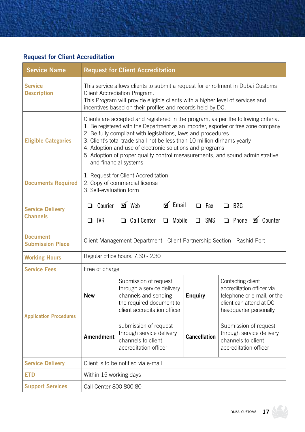#### **Request for Client Accreditation**

| <b>Service Name</b>                        | <b>Request for Client Accreditation</b>                                                                                                                                                                                                                                                                                                                                                                                                                                                    |                                                                                                                                                           |                          |                                                                                                                                    |  |
|--------------------------------------------|--------------------------------------------------------------------------------------------------------------------------------------------------------------------------------------------------------------------------------------------------------------------------------------------------------------------------------------------------------------------------------------------------------------------------------------------------------------------------------------------|-----------------------------------------------------------------------------------------------------------------------------------------------------------|--------------------------|------------------------------------------------------------------------------------------------------------------------------------|--|
| <b>Service</b><br><b>Description</b>       | This service allows clients to submit a request for enrollment in Dubai Customs<br>Client Accrediation Program.<br>This Program will provide eligible clients with a higher level of services and<br>incentives based on their profiles and records held by DC.                                                                                                                                                                                                                            |                                                                                                                                                           |                          |                                                                                                                                    |  |
| <b>Eligible Categories</b>                 | Clients are accepted and registered in the program, as per the following criteria.<br>1. Be registered with the Department as an importer, exporter or free zone company<br>2. Be fully compliant with legislations, laws and procedures<br>3. Client's total trade shall not be less than 10 million dirhams yearly<br>4. Adoption and use of electronic solutions and programs<br>5. Adoption of proper quality control mesasurements, and sound administrative<br>and financial systems |                                                                                                                                                           |                          |                                                                                                                                    |  |
| <b>Documents Required</b>                  | 1. Request for Client Accreditation<br>2. Copy of commercial license<br>3. Self-evaluation form                                                                                                                                                                                                                                                                                                                                                                                            |                                                                                                                                                           |                          |                                                                                                                                    |  |
| <b>Service Delivery</b><br><b>Channels</b> | $\Box$ Courier<br>$\Box$ IVR                                                                                                                                                                                                                                                                                                                                                                                                                                                               | $\mathbf{v}$ Web<br>$\leq$ Email<br>$\Box$ Call Center<br>$\Box$ Mobile                                                                                   | $\Box$ Fax<br>$\Box$ SMS | $\Box$ B <sub>2G</sub><br>□ Phone <b>o</b> Counter                                                                                 |  |
| <b>Document</b><br><b>Submission Place</b> | Client Management Department - Client Partnership Section - Rashid Port                                                                                                                                                                                                                                                                                                                                                                                                                    |                                                                                                                                                           |                          |                                                                                                                                    |  |
| <b>Working Hours</b>                       | Regular office hours: 7:30 - 2:30                                                                                                                                                                                                                                                                                                                                                                                                                                                          |                                                                                                                                                           |                          |                                                                                                                                    |  |
| <b>Service Fees</b>                        | Free of charge                                                                                                                                                                                                                                                                                                                                                                                                                                                                             |                                                                                                                                                           |                          |                                                                                                                                    |  |
| <b>Application Procedures</b>              | <b>New</b>                                                                                                                                                                                                                                                                                                                                                                                                                                                                                 | Submission of request<br>through a service delivery<br><b>Enquiry</b><br>channels and sending<br>the required document to<br>client accreditation officer |                          | Contacting client<br>accreditation officer via<br>telephone or e-mail, or the<br>client can attend at DC<br>headquarter personally |  |
|                                            | <b>Amendment</b>                                                                                                                                                                                                                                                                                                                                                                                                                                                                           | submission of request<br>through service delivery<br><b>Cancellation</b><br>channels to client<br>accreditation officer                                   |                          | Submission of request<br>through service delivery<br>channels to client<br>accreditation officer                                   |  |
| <b>Service Delivery</b>                    | Client is to be notified via e-mail                                                                                                                                                                                                                                                                                                                                                                                                                                                        |                                                                                                                                                           |                          |                                                                                                                                    |  |
| <b>ETD</b>                                 | Within 15 working days                                                                                                                                                                                                                                                                                                                                                                                                                                                                     |                                                                                                                                                           |                          |                                                                                                                                    |  |
| <b>Support Services</b>                    | Call Center 800 800 80                                                                                                                                                                                                                                                                                                                                                                                                                                                                     |                                                                                                                                                           |                          |                                                                                                                                    |  |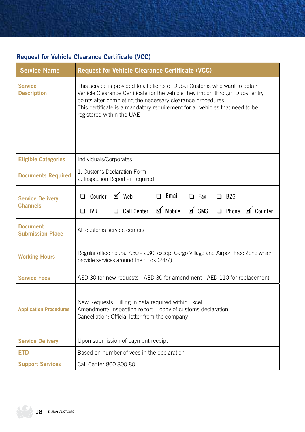#### **Request for Vehicle Clearance Certificate (VCC)**

| <b>Service Name</b>                        | <b>Request for Vehicle Clearance Certificate (VCC)</b>                                                                                                                                                                                                                                                                                   |  |  |
|--------------------------------------------|------------------------------------------------------------------------------------------------------------------------------------------------------------------------------------------------------------------------------------------------------------------------------------------------------------------------------------------|--|--|
| <b>Service</b><br><b>Description</b>       | This service is provided to all clients of Dubai Customs who want to obtain<br>Vehicle Clearance Certificate for the vehicle they import through Dubai entry<br>points after completing the necessary clearance procedures.<br>This certificate is a mandatory requirement for all vehicles that need to be<br>registered within the UAE |  |  |
| <b>Eligible Categories</b>                 | Individuals/Corporates                                                                                                                                                                                                                                                                                                                   |  |  |
| <b>Documents Required</b>                  | 1. Customs Declaration Form<br>2. Inspection Report - if required                                                                                                                                                                                                                                                                        |  |  |
| <b>Service Delivery</b><br><b>Channels</b> | □ Courier ■ Web<br>$\Box$ Email<br>$\Box$ Fax<br>$\Box$ B <sub>2G</sub><br>$\mathbf{v}$ Mobile<br>A SWS<br>□ Phone <b>o</b> Counter<br>Call Center<br>$\Box$ IVR                                                                                                                                                                         |  |  |
| <b>Document</b><br><b>Submission Place</b> | All customs service centers                                                                                                                                                                                                                                                                                                              |  |  |
| <b>Working Hours</b>                       | Regular office hours: 7:30 - 2:30, except Cargo Village and Airport Free Zone which<br>provide services around the clock (24/7)                                                                                                                                                                                                          |  |  |
| <b>Service Fees</b>                        | AED 30 for new requests - AED 30 for amendment - AED 110 for replacement                                                                                                                                                                                                                                                                 |  |  |
| <b>Application Procedures</b>              | New Requests: Filling in data required within Excel<br>Amendment: Inspection report + copy of customs declaration<br>Cancellation: Official letter from the company                                                                                                                                                                      |  |  |
| <b>Service Delivery</b>                    | Upon submission of payment receipt                                                                                                                                                                                                                                                                                                       |  |  |
| <b>ETD</b>                                 | Based on number of vccs in the declaration                                                                                                                                                                                                                                                                                               |  |  |
| <b>Support Services</b>                    | Call Center 800 800 80                                                                                                                                                                                                                                                                                                                   |  |  |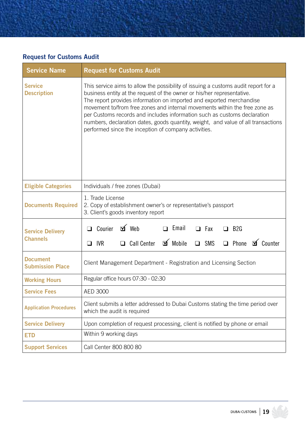#### **Request for Customs Audit**

| <b>Service Name</b>                        | <b>Request for Customs Audit</b>                                                                                                                                                                                                                                                                                                                                                                                                                                                                                                            |  |  |  |
|--------------------------------------------|---------------------------------------------------------------------------------------------------------------------------------------------------------------------------------------------------------------------------------------------------------------------------------------------------------------------------------------------------------------------------------------------------------------------------------------------------------------------------------------------------------------------------------------------|--|--|--|
| <b>Service</b><br><b>Description</b>       | This service aims to allow the possibility of issuing a customs audit report for a<br>business entity at the request of the owner or his/her representative.<br>The report provides information on imported and exported merchandise<br>movement to/from free zones and internal movements within the free zone as<br>per Customs records and includes information such as customs declaration<br>numbers, declaration dates, goods quantity, weight, and value of all transactions<br>performed since the inception of company activities. |  |  |  |
| <b>Eligible Categories</b>                 | Individuals / free zones (Dubai)                                                                                                                                                                                                                                                                                                                                                                                                                                                                                                            |  |  |  |
| <b>Documents Required</b>                  | 1. Trade License<br>2. Copy of establishment owner's or representative's passport<br>3. Client's goods inventory report                                                                                                                                                                                                                                                                                                                                                                                                                     |  |  |  |
| <b>Service Delivery</b><br><b>Channels</b> | $\Delta$ Web<br>$\Box$ Email<br>$\Box$ Courier<br>$\Box$ Fax<br>$\Box$ B <sub>2G</sub><br>□ Call Center □ Mobile<br>□ Phone <b>o</b> Counter<br>SMS<br><b>IVR</b><br>$\Box$<br>$\Box$                                                                                                                                                                                                                                                                                                                                                       |  |  |  |
| <b>Document</b><br><b>Submission Place</b> | Client Management Department - Registration and Licensing Section                                                                                                                                                                                                                                                                                                                                                                                                                                                                           |  |  |  |
| <b>Working Hours</b>                       | Regular office hours 07:30 - 02:30                                                                                                                                                                                                                                                                                                                                                                                                                                                                                                          |  |  |  |
| <b>Service Fees</b>                        | AED 3000                                                                                                                                                                                                                                                                                                                                                                                                                                                                                                                                    |  |  |  |
| <b>Application Procedures</b>              | Client submits a letter addressed to Dubai Customs stating the time period over<br>which the audit is required                                                                                                                                                                                                                                                                                                                                                                                                                              |  |  |  |
| <b>Service Delivery</b>                    | Upon completion of request processing, client is notified by phone or email                                                                                                                                                                                                                                                                                                                                                                                                                                                                 |  |  |  |
| <b>ETD</b>                                 | Within 9 working days                                                                                                                                                                                                                                                                                                                                                                                                                                                                                                                       |  |  |  |
| <b>Support Services</b>                    | Call Center 800 800 80                                                                                                                                                                                                                                                                                                                                                                                                                                                                                                                      |  |  |  |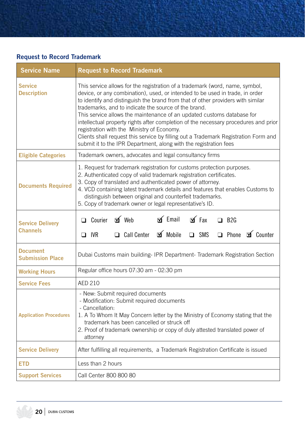#### **Request to Record Trademark**

| <b>Service Name</b>                        | <b>Request to Record Trademark</b>                                                                                                                                                                                                                                                                                                                                                                                                                                                                                                                                                                                                                                                 |  |  |
|--------------------------------------------|------------------------------------------------------------------------------------------------------------------------------------------------------------------------------------------------------------------------------------------------------------------------------------------------------------------------------------------------------------------------------------------------------------------------------------------------------------------------------------------------------------------------------------------------------------------------------------------------------------------------------------------------------------------------------------|--|--|
| <b>Service</b><br><b>Description</b>       | This service allows for the registration of a trademark (word, name, symbol,<br>device, or any combination), used, or intended to be used in trade, in order<br>to identify and distinguish the brand from that of other providers with similar<br>trademarks, and to indicate the source of the brand.<br>This service allows the maintenance of an updated customs database for<br>intellectual property rights after completion of the necessary procedures and prior<br>registration with the Ministry of Economy.<br>Clients shall request this service by filling out a Trademark Registration Form and<br>submit it to the IPR Department, along with the registration fees |  |  |
| <b>Eligible Categories</b>                 | Trademark owners, advocates and legal consultancy firms                                                                                                                                                                                                                                                                                                                                                                                                                                                                                                                                                                                                                            |  |  |
| <b>Documents Required</b>                  | 1. Request for trademark registration for customs protection purposes.<br>2. Authenticated copy of valid trademark registration certificates.<br>3. Copy of translated and authenticated power of attorney.<br>4. VCD containing latest trademark details and features that enables Customs to<br>distinguish between original and counterfeit trademarks.<br>5. Copy of trademark owner or legal representative's ID.                                                                                                                                                                                                                                                             |  |  |
| <b>Service Delivery</b><br><b>Channels</b> | $\leq$ Email<br>□ Courier <b>o</b> Web<br>$\Delta$ Fax<br>$\Box$ B <sub>2G</sub><br>Call Center <b>of</b> Mobile<br>none of Counter<br>$\Box$ IVR<br>$\Box$ SMS                                                                                                                                                                                                                                                                                                                                                                                                                                                                                                                    |  |  |
| <b>Document</b><br><b>Submission Place</b> | Dubai Customs main building- IPR Department- Trademark Registration Section                                                                                                                                                                                                                                                                                                                                                                                                                                                                                                                                                                                                        |  |  |
| <b>Working Hours</b>                       | Regular office hours 07:30 am - 02:30 pm                                                                                                                                                                                                                                                                                                                                                                                                                                                                                                                                                                                                                                           |  |  |
| <b>Service Fees</b>                        | <b>AED 210</b>                                                                                                                                                                                                                                                                                                                                                                                                                                                                                                                                                                                                                                                                     |  |  |
| <b>Application Procedures</b>              | - New: Submit required documents<br>- Modification: Submit required documents<br>- Cancellation:<br>1. A To Whom It May Concern letter by the Ministry of Economy stating that the<br>trademark has been cancelled or struck off<br>2. Proof of trademark ownership or copy of duly attested translated power of<br>attorney                                                                                                                                                                                                                                                                                                                                                       |  |  |
| <b>Service Delivery</b>                    | After fulfilling all requirements, a Trademark Registration Certificate is issued                                                                                                                                                                                                                                                                                                                                                                                                                                                                                                                                                                                                  |  |  |
| <b>ETD</b>                                 | Less than 2 hours                                                                                                                                                                                                                                                                                                                                                                                                                                                                                                                                                                                                                                                                  |  |  |
| <b>Support Services</b>                    | Call Center 800 800 80                                                                                                                                                                                                                                                                                                                                                                                                                                                                                                                                                                                                                                                             |  |  |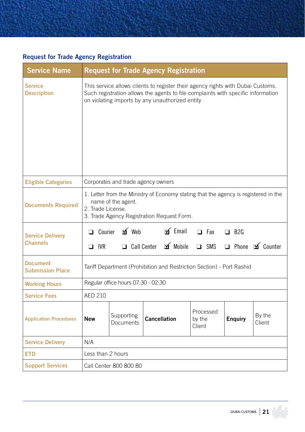#### **Request for Trade Agency Registration**

| <b>Service Name</b>                        |                                                                                                                                                                              |                                       | <b>Request for Trade Agency Registration</b>                                                                                                                                                                           |                               |                        |                          |
|--------------------------------------------|------------------------------------------------------------------------------------------------------------------------------------------------------------------------------|---------------------------------------|------------------------------------------------------------------------------------------------------------------------------------------------------------------------------------------------------------------------|-------------------------------|------------------------|--------------------------|
| <b>Service</b><br><b>Description</b>       |                                                                                                                                                                              |                                       | This service allows clients to register their agency rights with Dubai Customs.<br>Such registration allows the agents to file complaints with specific information<br>on violating imports by any unauthorized entity |                               |                        |                          |
| <b>Eligible Categories</b>                 | Corporates and trade agency owners                                                                                                                                           |                                       |                                                                                                                                                                                                                        |                               |                        |                          |
| <b>Documents Required</b>                  | 1. Letter from the Ministry of Economy stating that the agency is registered in the<br>name of the agent.<br>2. Trade License.<br>3. Trade Agency Registration Request Form. |                                       |                                                                                                                                                                                                                        |                               |                        |                          |
| <b>Service Delivery</b><br><b>Channels</b> | $\Box$ IVR                                                                                                                                                                   | □ Courier □ Web<br>$\Box$ Call Center | $\leq$ Email<br>$\mathbf{I}$ Mobile                                                                                                                                                                                    | $\Box$ Fax<br>SMS<br>$\Box$   | $\Box$ B <sub>2G</sub> | □ Phone <b>o</b> Counter |
| <b>Document</b><br><b>Submission Place</b> | Tariff Department (Prohibition and Restriction Section) - Port Rashid                                                                                                        |                                       |                                                                                                                                                                                                                        |                               |                        |                          |
| <b>Working Hours</b>                       | Regular office hours 07:30 - 02:30                                                                                                                                           |                                       |                                                                                                                                                                                                                        |                               |                        |                          |
| <b>Service Fees</b>                        | <b>AED 210</b>                                                                                                                                                               |                                       |                                                                                                                                                                                                                        |                               |                        |                          |
| <b>Application Procedures</b>              | <b>New</b>                                                                                                                                                                   | Supporting<br>Documents               | <b>Cancellation</b>                                                                                                                                                                                                    | Processed<br>by the<br>Client | <b>Enquiry</b>         | By the<br>Client         |
| <b>Service Delivery</b>                    | N/A                                                                                                                                                                          |                                       |                                                                                                                                                                                                                        |                               |                        |                          |
| <b>ETD</b>                                 | Less than 2 hours                                                                                                                                                            |                                       |                                                                                                                                                                                                                        |                               |                        |                          |
| <b>Support Services</b>                    | Call Center 800 800 80                                                                                                                                                       |                                       |                                                                                                                                                                                                                        |                               |                        |                          |